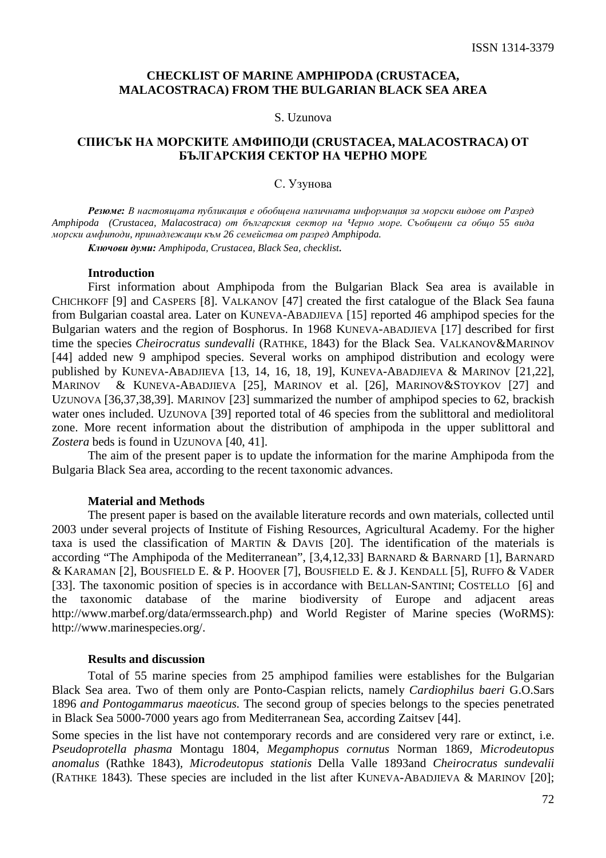# **CHECKLIST OF MARINE AMPHIPODA (CRUSTACEA, MALACOSTRACA) FROM THE BULGARIAN BLACK SEA AREA**

## S. Uzunova

# СПИСЪК НА МОРСКИТЕ АМФИПОДИ **(CRUSTACEA, MALACOSTRACA)** ОТ БЪЛГАРСКИЯ СЕКТОР НА ЧЕРНО МОРЕ

## С. Узунова

Резюме*:* В настоящата публикация е обобщена наличната информация за морски видове от Разред *Amphipoda (Crustacea, Malacostraca)* от българския сектор на Черно море*.* Съобщени са общо *55* вида морски амфиподи*,* принадлежащи към *26* семейства от разред *Amphipoda.*

Ключови думи*: Amphipoda, Crustacea, Black Sea, checklist.* 

#### **Introduction**

First information about Amphipoda from the Bulgarian Black Sea area is available in CHICHKOFF [9] and CASPERS [8]. VALKANOV [47] created the first catalogue of the Black Sea fauna from Bulgarian coastal area. Later on KUNEVA-ABADJIEVA [15] reported 46 amphipod species for the Bulgarian waters and the region of Bosphorus. In 1968 KUNEVA-ABADJIEVA [17] described for first time the species *Cheirocratus sundevalli* (RATHKE, 1843) for the Black Sea. VALKANOV&MARINOV [44] added new 9 amphipod species. Several works on amphipod distribution and ecology were published by KUNEVA-ABADJIEVA [13, 14, 16, 18, 19], KUNEVA-ABADJIEVA & MARINOV [21,22], MARINOV & KUNEVA-ABADJIEVA [25], MARINOV et al. [26], MARINOV&STOYKOV [27] and UZUNOVA [36,37,38,39]. MARINOV [23] summarized the number of amphipod species to 62, brackish water ones included. UZUNOVA [39] reported total of 46 species from the sublittoral and mediolitoral zone. More recent information about the distribution of amphipoda in the upper sublittoral and *Zostera* beds is found in UZUNOVA [40, 41].

The aim of the present paper is to update the information for the marine Amphipoda from the Bulgaria Black Sea area, according to the recent taxonomic advances.

#### **Material and Methods**

The present paper is based on the available literature records and own materials, collected until 2003 under several projects of Institute of Fishing Resources, Agricultural Academy. For the higher taxa is used the classification of MARTIN & DAVIS [20]. The identification of the materials is according "The Amphipoda of the Mediterranean", [3,4,12,33] BARNARD & BARNARD [1], BARNARD & KARAMAN [2], BOUSFIELD E. & P. HOOVER [7], BOUSFIELD E. & J. KENDALL [5], RUFFO & VADER [33]. The taxonomic position of species is in accordance with BELLAN-SANTINI; COSTELLO [6] and the taxonomic database of the marine biodiversity of Europe and adjacent areas http://www.marbef.org/data/ermssearch.php) and World Register of Marine species (WoRMS): http://www.marinespecies.org/.

#### **Results and discussion**

Total of 55 marine species from 25 amphipod families were establishes for the Bulgarian Black Sea area. Two of them only are Ponto-Caspian relicts, namely *Cardiophilus baeri* G.O.Sars 1896 *and Pontogammarus maeoticus.* The second group of species belongs to the species penetrated in Black Sea 5000-7000 years ago from Mediterranean Sea, according Zaitsev [44].

Some species in the list have not contemporary records and are considered very rare or extinct, i.e. *Pseudoprotella phasma* Montagu 1804*, Megamphopus cornutus* Norman 1869*, Microdeutopus anomalus* (Rathke 1843)*, Microdeutopus stationis* Della Valle 1893and *Cheirocratus sundevalii*  (RATHKE 1843)*.* These species are included in the list after KUNEVA-ABADJIEVA & MARINOV [20];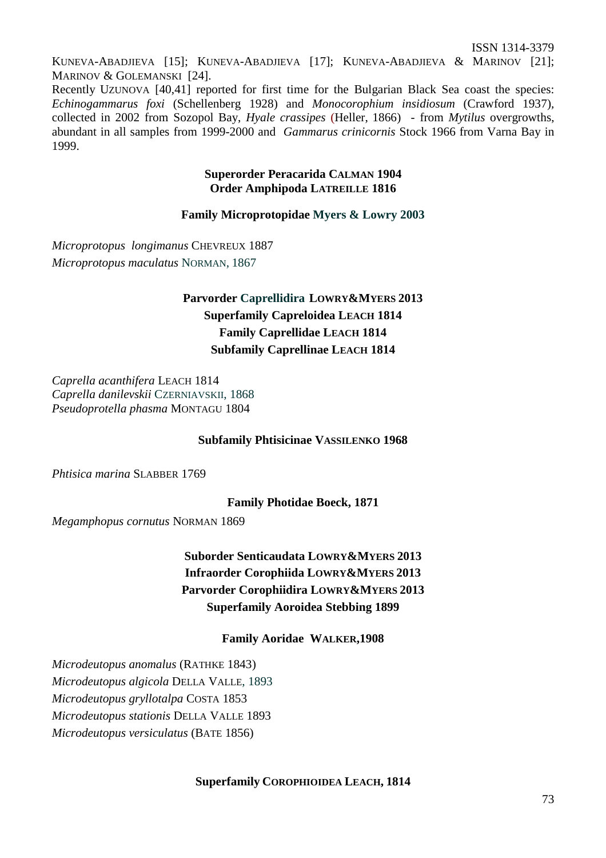ISSN 1314-3379

KUNEVA-ABADJIEVA [15]; KUNEVA-ABADJIEVA [17]; KUNEVA-ABADJIEVA & MARINOV [21]; MARINOV & GOLEMANSKI [24].

Recently UZUNOVA [40,41] reported for first time for the Bulgarian Black Sea coast the species: *Echinogammarus foxi* (Schellenberg 1928) and *Monocorophium insidiosum* (Crawford 1937)*,*  collected in 2002 from Sozopol Bay, *Hyale crassipes* (Heller, 1866) - from *Mytilus* overgrowths, abundant in all samples from 1999-2000 and *Gammarus crinicornis* Stock 1966 from Varna Bay in 1999.

# **Superorder Peracarida CALMAN 1904 Order Amphipoda LATREILLE 1816**

# **Family Microprotopidae Myers & Lowry 2003**

*Microprotopus longimanus* CHEVREUX 1887 *Microprotopus maculatus* NORMAN, 1867

# **Parvorder Caprellidira LOWRY&MYERS 2013 Superfamily Capreloidea LEACH 1814 Family Caprellidae LEACH 1814 Subfamily Caprellinae LEACH 1814**

*Caprella acanthifera* LEACH 1814 *Caprella danilevskii* CZERNIAVSKII, 1868 *Pseudoprotella phasma* MONTAGU 1804

# **Subfamily Phtisicinae VASSILENKO 1968**

*Phtisica marina* SLABBER 1769

**Family Photidae Boeck, 1871** 

*Megamphopus cornutus* NORMAN 1869

**Suborder Senticaudata LOWRY&MYERS 2013 Infraorder Corophiida LOWRY&MYERS 2013 Parvorder Corophiidira LOWRY&MYERS 2013 Superfamily Aoroidea Stebbing 1899** 

**Family Aoridae WALKER,1908** 

*Microdeutopus anomalus* (RATHKE 1843) *Microdeutopus algicola* DELLA VALLE, 1893 *Microdeutopus gryllotalpa* COSTA 1853 *Microdeutopus stationis* DELLA VALLE 1893 *Microdeutopus versiculatus* (BATE 1856)

# **Superfamily COROPHIOIDEA LEACH, 1814**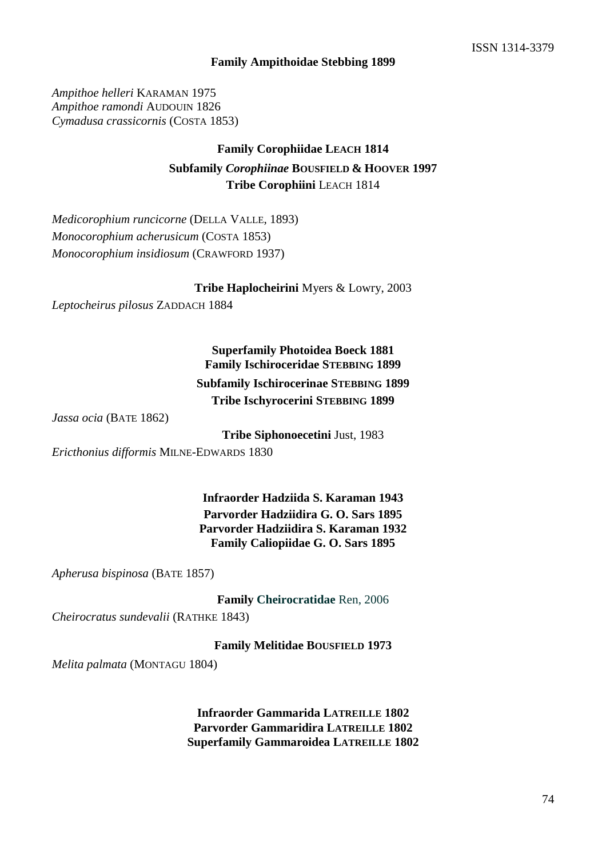## **Family Ampithoidae Stebbing 1899**

*Ampithoe helleri* KARAMAN 1975 *Ampithoe ramondi* AUDOUIN 1826 *Cymadusa crassicornis* (COSTA 1853)

# **Family Corophiidae LEACH 1814 Subfamily** *Corophiinae* **BOUSFIELD & HOOVER 1997 Tribe Corophiini** LEACH 1814

*Medicorophium runcicorne* (DELLA VALLE, 1893) *Monocorophium acherusicum* (COSTA 1853) *Monocorophium insidiosum* (CRAWFORD 1937)

**Tribe Haplocheirini** Myers & Lowry, 2003

*Leptocheirus pilosus* ZADDACH 1884

# **Superfamily Photoidea Boeck 1881 Family Ischiroceridae STEBBING 1899**

**Subfamily Ischirocerinae STEBBING 1899 Tribe Ischyrocerini STEBBING 1899** 

*Jassa ocia* (BATE 1862)

**Tribe Siphonoecetini** Just, 1983

*Ericthonius difformis* MILNE-EDWARDS 1830

**Infraorder Hadziida S. Karaman 1943 Parvorder Hadziidira G. O. Sars 1895 Parvorder Hadziidira S. Karaman 1932 Family Caliopiidae G. O. Sars 1895** 

*Apherusa bispinosa* (BATE 1857)

**Family Cheirocratidae** Ren, 2006

*Cheirocratus sundevalii* (RATHKE 1843)

**Family Melitidae BOUSFIELD 1973** 

*Melita palmata* (MONTAGU 1804)

**Infraorder Gammarida LATREILLE 1802 Parvorder Gammaridira LATREILLE 1802 Superfamily Gammaroidea LATREILLE 1802**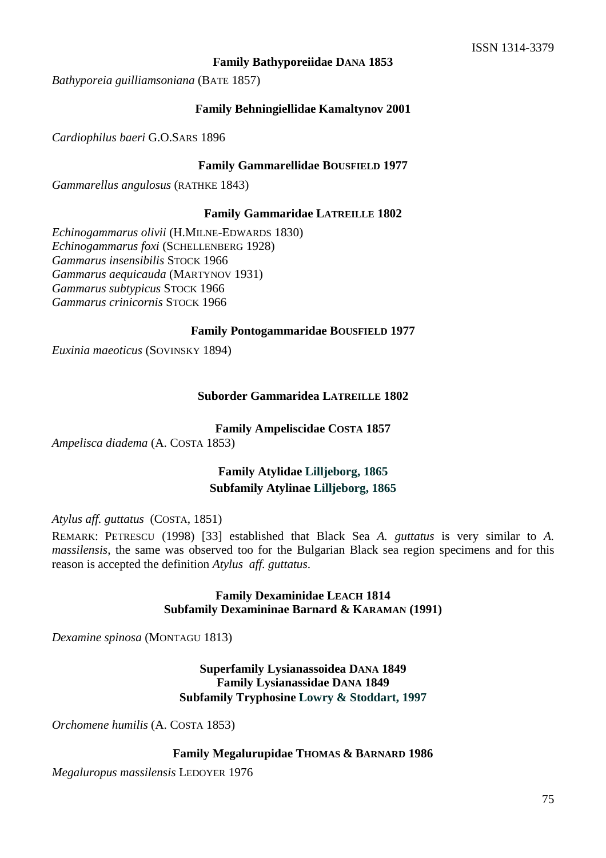## **Family Bathyporeiidae DANA 1853**

*Bathyporeia guilliamsoniana* (BATE 1857)

## **Family Behningiellidae Kamaltynov 2001**

*Cardiophilus baeri* G.O.SARS 1896

## **Family Gammarellidae BOUSFIELD 1977**

*Gammarellus angulosus* (RATHKE 1843)

#### **Family Gammaridae LATREILLE 1802**

*Echinogammarus olivii* (H.MILNE-EDWARDS 1830) *Echinogammarus foxi* (SCHELLENBERG 1928) *Gammarus insensibilis* STOCK 1966 *Gammarus aequicauda* (MARTYNOV 1931) *Gammarus subtypicus* STOCK 1966 *Gammarus crinicornis* STOCK 1966

#### **Family Pontogammaridae BOUSFIELD 1977**

*Euxinia maeoticus* (SOVINSKY 1894)

## **Suborder Gammaridea LATREILLE 1802**

**Family Ampeliscidae COSTA 1857** 

*Ampelisca diadema* (A. COSTA 1853)

# **Family Atylidae Lilljeborg, 1865 Subfamily Atylinae Lilljeborg, 1865**

*Atylus aff. guttatus* (COSTA, 1851)

REMARK: PETRESCU (1998) [33] established that Black Sea *A. guttatus* is very similar to *A. massilensis*, the same was observed too for the Bulgarian Black sea region specimens and for this reason is accepted the definition *Atylus aff. guttatus*.

## **Family Dexaminidae LEACH 1814 Subfamily Dexamininae Barnard & KARAMAN (1991)**

*Dexamine spinosa* (MONTAGU 1813)

# **Superfamily Lysianassoidea DANA 1849 Family Lysianassidae DANA 1849 Subfamily Tryphosine Lowry & Stoddart, 1997**

*Orchomene humilis* (A. COSTA 1853)

#### **Family Megalurupidae THOMAS & BARNARD 1986**

*Megaluropus massilensis* LEDOYER 1976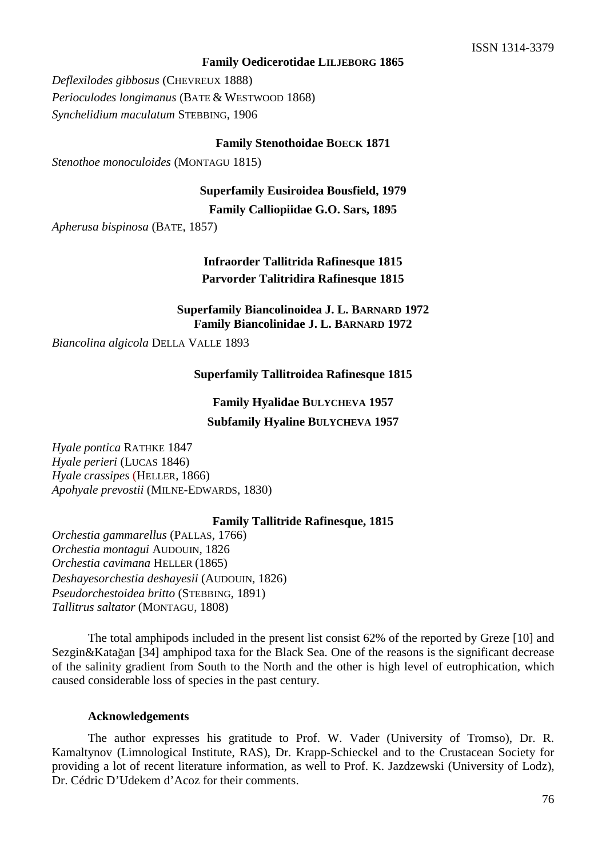## **Family Oedicerotidae LILJEBORG 1865**

*Deflexilodes gibbosus* (CHEVREUX 1888) *Perioculodes longimanus* (BATE & WESTWOOD 1868) *Synchelidium maculatum* STEBBING, 1906

**Family Stenothoidae BOECK 1871** 

*Stenothoe monoculoides* (MONTAGU 1815)

**Superfamily Eusiroidea Bousfield, 1979** 

**Family Calliopiidae G.O. Sars, 1895** 

*Apherusa bispinosa* (BATE, 1857)

# **Infraorder Tallitrida Rafinesque 1815 Parvorder Talitridira Rafinesque 1815**

**Superfamily Biancolinoidea J. L. BARNARD 1972 Family Biancolinidae J. L. BARNARD 1972** 

*Biancolina algicola* DELLA VALLE 1893

## **Superfamily Tallitroidea Rafinesque 1815**

**Family Hyalidae BULYCHEVA 1957 Subfamily Hyaline BULYCHEVA 1957** 

*Hyale pontica* RATHKE 1847 *Hyale perieri* (LUCAS 1846) *Hyale crassipes* (HELLER, 1866) *Apohyale prevostii* (MILNE-EDWARDS, 1830)

## **Family Tallitride Rafinesque, 1815**

*Orchestia gammarellus* (PALLAS, 1766) *Orchestia montagui* AUDOUIN, 1826 *Orchestia cavimana* HELLER (1865) *Deshayesorchestia deshayesii* (AUDOUIN, 1826) *Pseudorchestoidea britto* (STEBBING, 1891) *Tallitrus saltator* (MONTAGU, 1808)

The total amphipods included in the present list consist 62% of the reported by Greze [10] and Sezgin&Katağan [34] amphipod taxa for the Black Sea. One of the reasons is the significant decrease of the salinity gradient from South to the North and the other is high level of eutrophication, which caused considerable loss of species in the past century.

## **Acknowledgements**

The author expresses his gratitude to Prof. W. Vader (University of Tromso), Dr. R. Kamaltynov (Limnological Institute, RAS), Dr. Krapp-Schieckel and to the Crustacean Society for providing a lot of recent literature information, as well to Prof. K. Jazdzewski (University of Lodz), Dr. Cédric D'Udekem d'Acoz for their comments.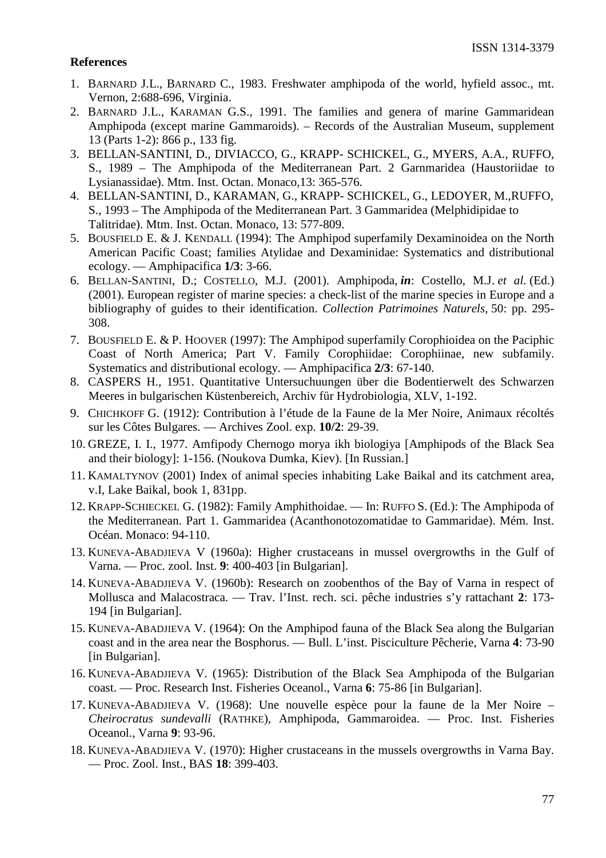# **References**

- 1. BARNARD J.L., BARNARD C., 1983. Freshwater amphipoda of the world, hyfield assoc., mt. Vernon, 2:688-696, Virginia.
- 2. BARNARD J.L., KARAMAN G.S., 1991. The families and genera of marine Gammaridean Amphipoda (except marine Gammaroids). – Records of the Australian Museum, supplement 13 (Parts 1-2): 866 p., 133 fig.
- 3. BELLAN-SANTINI, D., DIVIACCO, G., KRAPP- SCHICKEL, G., MYERS, A.A., RUFFO, S., 1989 – The Amphipoda of the Mediterranean Part. 2 Garnmaridea (Haustoriidae to Lysianassidae). Mtm. Inst. Octan. Monaco,13: 365-576.
- 4. BELLAN-SANTINI, D., KARAMAN, G., KRAPP- SCHICKEL, G., LEDOYER, M.,RUFFO, S., 1993 – The Amphipoda of the Mediterranean Part. 3 Gammaridea (Melphidipidae to Talitridae). Mtm. Inst. Octan. Monaco, 13: 577-809.
- 5. BOUSFIELD E. & J. KENDALL (1994): The Amphipod superfamily Dexaminoidea on the North American Pacific Coast; families Atylidae and Dexaminidae: Systematics and distributional ecology. — Amphipacifica **1/3**: 3-66.
- 6. BELLAN-SANTINI, D.; COSTELLO, M.J. (2001). Amphipoda, *in*: Costello, M.J. *et al.* (Ed.) (2001). European register of marine species: a check-list of the marine species in Europe and a bibliography of guides to their identification. *Collection Patrimoines Naturels,* 50: pp. 295- 308.
- 7. BOUSFIELD E. & P. HOOVER (1997): The Amphipod superfamily Corophioidea on the Paciphic Coast of North America; Part V. Family Corophiidae: Corophiinae, new subfamily. Systematics and distributional ecology. — Amphipacifica **2/3**: 67-140.
- 8. CASPERS H., 1951. Quantitative Untersuchuungen über die Bodentierwelt des Schwarzen Meeres in bulgarischen Küstenbereich, Archiv fűr Hydrobiologia, XLV, 1-192.
- 9. CHICHKOFF G. (1912): Contribution à l'étude de la Faune de la Mer Noire, Animaux récoltés sur les Côtes Bulgares. — Archives Zool. exp. **10/2**: 29-39.
- 10. GREZE, I. I., 1977. Amfipody Chernogo morya ikh biologiya [Amphipods of the Black Sea and their biology]: 1-156. (Noukova Dumka, Kiev). [In Russian.]
- 11. KAMALTYNOV (2001) Index of animal species inhabiting Lake Baikal and its catchment area, v.I, Lake Baikal, book 1, 831pp.
- 12. KRAPP-SCHIECKEL G. (1982): Family Amphithoidae. In: RUFFO S. (Ed.): The Amphipoda of the Mediterranean. Part 1. Gammaridea (Acanthonotozomatidae to Gammaridae). Mém. Inst. Océan. Monaco: 94-110.
- 13. KUNEVA-ABADJIEVA V (1960a): Higher crustaceans in mussel overgrowths in the Gulf of Varna. — Proc. zool. Inst. **9**: 400-403 [in Bulgarian].
- 14. KUNEVA-ABADJIEVA V. (1960b): Research on zoobenthos of the Bay of Varna in respect of Mollusca and Malacostraca. — Trav. l'Inst. rech. sci. pêche industries s'y rattachant **2**: 173- 194 [in Bulgarian].
- 15. KUNEVA-ABADJIEVA V. (1964): On the Amphipod fauna of the Black Sea along the Bulgarian coast and in the area near the Bosphorus. — Bull. L'inst. Pisciculture Pêcherie, Varna **4**: 73-90 [in Bulgarian].
- 16. KUNEVA-ABADJIEVA V. (1965): Distribution of the Black Sea Amphipoda of the Bulgarian coast. — Proc. Research Inst. Fisheries Oceanol., Varna **6**: 75-86 [in Bulgarian].
- 17. KUNEVA-ABADJIEVA V. (1968): Une nouvelle espèce pour la faune de la Mer Noire *Cheirocratus sundevalli* (RATHKE), Amphipoda, Gammaroidea. — Proc. Inst. Fisheries Oceanol., Varna **9**: 93-96.
- 18. KUNEVA-ABADJIEVA V. (1970): Higher crustaceans in the mussels overgrowths in Varna Bay. — Proc. Zool. Inst., BAS **18**: 399-403.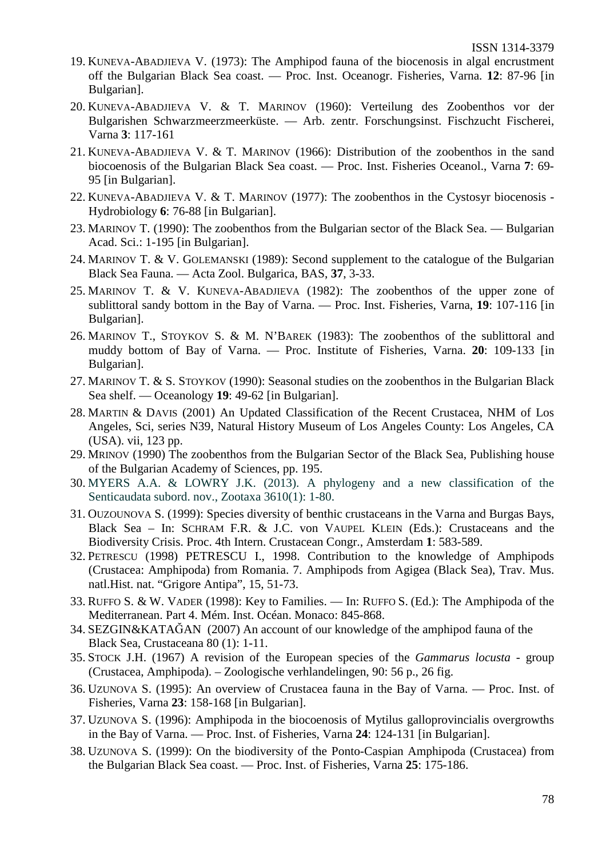- 19. KUNEVA-ABADJIEVA V. (1973): The Amphipod fauna of the biocenosis in algal encrustment off the Bulgarian Black Sea coast. — Proc. Inst. Oceanogr. Fisheries, Varna. **12**: 87-96 [in Bulgarian].
- 20. KUNEVA-ABADJIEVA V. & T. MARINOV (1960): Verteilung des Zoobenthos vor der Bulgarishen Schwarzmeerzmeerküste. — Arb. zentr. Forschungsinst. Fischzucht Fischerei, Varna **3**: 117-161
- 21. KUNEVA-ABADJIEVA V. & T. MARINOV (1966): Distribution of the zoobenthos in the sand biocoenosis of the Bulgarian Black Sea coast. — Proc. Inst. Fisheries Oceanol., Varna **7**: 69- 95 [in Bulgarian].
- 22. KUNEVA-ABADJIEVA V. & T. MARINOV (1977): The zoobenthos in the Cystosyr biocenosis Hydrobiology **6**: 76-88 [in Bulgarian].
- 23. MARINOV T. (1990): The zoobenthos from the Bulgarian sector of the Black Sea. Bulgarian Acad. Sci.: 1-195 [in Bulgarian].
- 24. MARINOV T. & V. GOLEMANSKI (1989): Second supplement to the catalogue of the Bulgarian Black Sea Fauna. — Acta Zool. Bulgarica, BAS, **37**, 3-33.
- 25. MARINOV T. & V. KUNEVA-ABADJIEVA (1982): The zoobenthos of the upper zone of sublittoral sandy bottom in the Bay of Varna. — Proc. Inst. Fisheries, Varna, **19**: 107-116 [in Bulgarian].
- 26. MARINOV T., STOYKOV S. & M. N'BAREK (1983): The zoobenthos of the sublittoral and muddy bottom of Bay of Varna. — Proc. Institute of Fisheries, Varna. **20**: 109-133 [in Bulgarian].
- 27. MARINOV T. & S. STOYKOV (1990): Seasonal studies on the zoobenthos in the Bulgarian Black Sea shelf. — Oceanology **19**: 49-62 [in Bulgarian].
- 28. MARTIN & DAVIS (2001) An Updated Classification of the Recent Crustacea, NHM of Los Angeles, Sci, series N39, Natural History Museum of Los Angeles County: Los Angeles, CA (USA). vii, 123 pp.
- 29. MRINOV (1990) The zoobenthos from the Bulgarian Sector of the Black Sea, Publishing house of the Bulgarian Academy of Sciences, pp. 195.
- 30. MYERS A.A. & LOWRY J.K. (2013). A phylogeny and a new classification of the Senticaudata subord. nov., Zootaxa 3610(1): 1-80.
- 31. OUZOUNOVA S. (1999): Species diversity of benthic crustaceans in the Varna and Burgas Bays, Black Sea – In: SCHRAM F.R. & J.C. von VAUPEL KLEIN (Eds.): Crustaceans and the Biodiversity Crisis. Proc. 4th Intern. Crustacean Congr., Amsterdam **1**: 583-589.
- 32. PETRESCU (1998) PETRESCU I., 1998. Contribution to the knowledge of Amphipods (Crustacea: Amphipoda) from Romania. 7. Amphipods from Agigea (Black Sea), Trav. Mus. natl.Hist. nat. "Grigore Antipa", 15, 51-73.
- 33. RUFFO S. & W. VADER (1998): Key to Families. In: RUFFO S. (Ed.): The Amphipoda of the Mediterranean. Part 4. Mém. Inst. Océan. Monaco: 845-868.
- 34. SEZGIN&KATAĞAN (2007) An account of our knowledge of the amphipod fauna of the Black Sea, Crustaceana 80 (1): 1-11.
- 35. STOCK J.H. (1967) A revision of the European species of the *Gammarus locusta* group (Crustacea, Amphipoda). – Zoologische verhlandelingen, 90: 56 p., 26 fig.
- 36. UZUNOVA S. (1995): An overview of Crustacea fauna in the Bay of Varna. Proc. Inst. of Fisheries, Varna **23**: 158-168 [in Bulgarian].
- 37. UZUNOVA S. (1996): Amphipoda in the biocoenosis of Mytilus galloprovincialis overgrowths in the Bay of Varna. — Proc. Inst. of Fisheries, Varna **24**: 124-131 [in Bulgarian].
- 38. UZUNOVA S. (1999): On the biodiversity of the Ponto-Caspian Amphipoda (Crustacea) from the Bulgarian Black Sea coast. — Proc. Inst. of Fisheries, Varna **25**: 175-186.